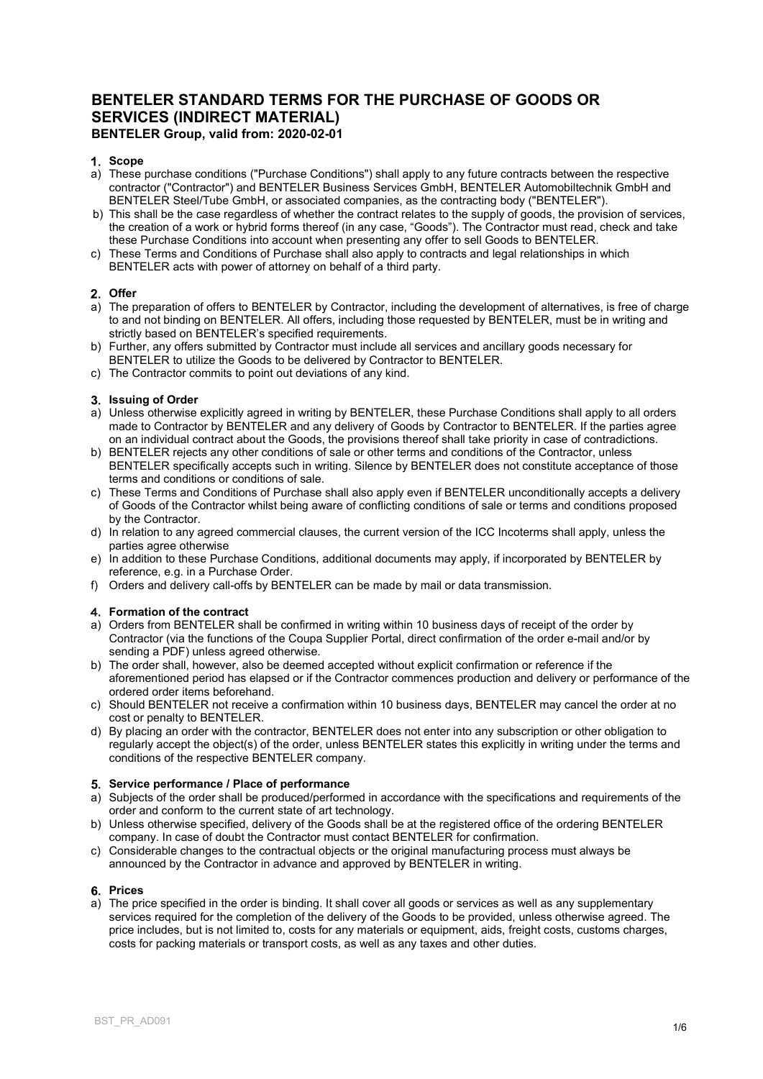# BENTELER STANDARD TERMS FOR THE PURCHASE OF GOODS OR SERVICES (INDIRECT MATERIAL) BENTELER Group, valid from: 2020-02-01

# 1. Scope

- a) These purchase conditions ("Purchase Conditions") shall apply to any future contracts between the respective contractor ("Contractor") and BENTELER Business Services GmbH, BENTELER Automobiltechnik GmbH and BENTELER Steel/Tube GmbH, or associated companies, as the contracting body ("BENTELER").
- b) This shall be the case regardless of whether the contract relates to the supply of goods, the provision of services, the creation of a work or hybrid forms thereof (in any case, "Goods"). The Contractor must read, check and take these Purchase Conditions into account when presenting any offer to sell Goods to BENTELER.
- c) These Terms and Conditions of Purchase shall also apply to contracts and legal relationships in which BENTELER acts with power of attorney on behalf of a third party.

# 2. Offer

- a) The preparation of offers to BENTELER by Contractor, including the development of alternatives, is free of charge to and not binding on BENTELER. All offers, including those requested by BENTELER, must be in writing and strictly based on BENTELER's specified requirements.
- b) Further, any offers submitted by Contractor must include all services and ancillary goods necessary for BENTELER to utilize the Goods to be delivered by Contractor to BENTELER.
- c) The Contractor commits to point out deviations of any kind.

# 3. Issuing of Order

- a) Unless otherwise explicitly agreed in writing by BENTELER, these Purchase Conditions shall apply to all orders made to Contractor by BENTELER and any delivery of Goods by Contractor to BENTELER. If the parties agree on an individual contract about the Goods, the provisions thereof shall take priority in case of contradictions.
- b) BENTELER rejects any other conditions of sale or other terms and conditions of the Contractor, unless BENTELER specifically accepts such in writing. Silence by BENTELER does not constitute acceptance of those terms and conditions or conditions of sale.
- c) These Terms and Conditions of Purchase shall also apply even if BENTELER unconditionally accepts a delivery of Goods of the Contractor whilst being aware of conflicting conditions of sale or terms and conditions proposed by the Contractor.
- d) In relation to any agreed commercial clauses, the current version of the ICC Incoterms shall apply, unless the parties agree otherwise
- e) In addition to these Purchase Conditions, additional documents may apply, if incorporated by BENTELER by reference, e.g. in a Purchase Order.
- f) Orders and delivery call-offs by BENTELER can be made by mail or data transmission.

# 4. Formation of the contract

- a) Orders from BENTELER shall be confirmed in writing within 10 business days of receipt of the order by Contractor (via the functions of the Coupa Supplier Portal, direct confirmation of the order e-mail and/or by sending a PDF) unless agreed otherwise.
- b) The order shall, however, also be deemed accepted without explicit confirmation or reference if the aforementioned period has elapsed or if the Contractor commences production and delivery or performance of the ordered order items beforehand.
- c) Should BENTELER not receive a confirmation within 10 business days, BENTELER may cancel the order at no cost or penalty to BENTELER.
- d) By placing an order with the contractor, BENTELER does not enter into any subscription or other obligation to regularly accept the object(s) of the order, unless BENTELER states this explicitly in writing under the terms and conditions of the respective BENTELER company.

#### Service performance / Place of performance

- a) Subjects of the order shall be produced/performed in accordance with the specifications and requirements of the order and conform to the current state of art technology.
- b) Unless otherwise specified, delivery of the Goods shall be at the registered office of the ordering BENTELER company. In case of doubt the Contractor must contact BENTELER for confirmation.
- c) Considerable changes to the contractual objects or the original manufacturing process must always be announced by the Contractor in advance and approved by BENTELER in writing.

#### 6. Prices

a) The price specified in the order is binding. It shall cover all goods or services as well as any supplementary services required for the completion of the delivery of the Goods to be provided, unless otherwise agreed. The price includes, but is not limited to, costs for any materials or equipment, aids, freight costs, customs charges, costs for packing materials or transport costs, as well as any taxes and other duties.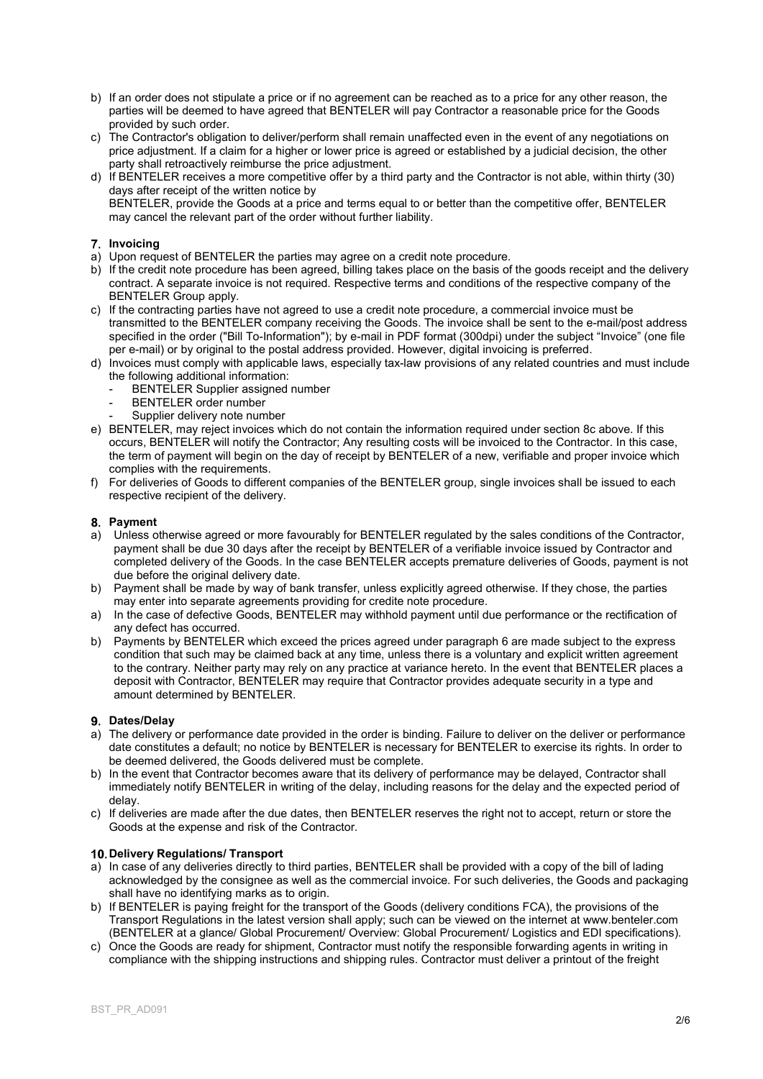- b) If an order does not stipulate a price or if no agreement can be reached as to a price for any other reason, the parties will be deemed to have agreed that BENTELER will pay Contractor a reasonable price for the Goods provided by such order.
- c) The Contractor's obligation to deliver/perform shall remain unaffected even in the event of any negotiations on price adjustment. If a claim for a higher or lower price is agreed or established by a judicial decision, the other party shall retroactively reimburse the price adjustment.
- d) If BENTELER receives a more competitive offer by a third party and the Contractor is not able, within thirty (30) days after receipt of the written notice by BENTELER, provide the Goods at a price and terms equal to or better than the competitive offer, BENTELER may cancel the relevant part of the order without further liability.

# 7. Invoicing

- a) Upon request of BENTELER the parties may agree on a credit note procedure.
- b) If the credit note procedure has been agreed, billing takes place on the basis of the goods receipt and the delivery contract. A separate invoice is not required. Respective terms and conditions of the respective company of the BENTELER Group apply.
- c) If the contracting parties have not agreed to use a credit note procedure, a commercial invoice must be transmitted to the BENTELER company receiving the Goods. The invoice shall be sent to the e-mail/post address specified in the order ("Bill To-Information"); by e-mail in PDF format (300dpi) under the subject "Invoice" (one file per e-mail) or by original to the postal address provided. However, digital invoicing is preferred.
- d) Invoices must comply with applicable laws, especially tax-law provisions of any related countries and must include the following additional information:
	- BENTELER Supplier assigned number
	- BENTELER order number
	- Supplier delivery note number
- e) BENTELER, may reject invoices which do not contain the information required under section 8c above. If this occurs, BENTELER will notify the Contractor; Any resulting costs will be invoiced to the Contractor. In this case, the term of payment will begin on the day of receipt by BENTELER of a new, verifiable and proper invoice which complies with the requirements.
- f) For deliveries of Goods to different companies of the BENTELER group, single invoices shall be issued to each respective recipient of the delivery.

# 8. Payment

- a) Unless otherwise agreed or more favourably for BENTELER regulated by the sales conditions of the Contractor, payment shall be due 30 days after the receipt by BENTELER of a verifiable invoice issued by Contractor and completed delivery of the Goods. In the case BENTELER accepts premature deliveries of Goods, payment is not due before the original delivery date.
- b) Payment shall be made by way of bank transfer, unless explicitly agreed otherwise. If they chose, the parties may enter into separate agreements providing for credite note procedure.
- a) In the case of defective Goods, BENTELER may withhold payment until due performance or the rectification of any defect has occurred.
- b) Payments by BENTELER which exceed the prices agreed under paragraph 6 are made subject to the express condition that such may be claimed back at any time, unless there is a voluntary and explicit written agreement to the contrary. Neither party may rely on any practice at variance hereto. In the event that BENTELER places a deposit with Contractor, BENTELER may require that Contractor provides adequate security in a type and amount determined by BENTELER.

# 9. Dates/Delay

- a) The delivery or performance date provided in the order is binding. Failure to deliver on the deliver or performance date constitutes a default; no notice by BENTELER is necessary for BENTELER to exercise its rights. In order to be deemed delivered, the Goods delivered must be complete.
- b) In the event that Contractor becomes aware that its delivery of performance may be delayed, Contractor shall immediately notify BENTELER in writing of the delay, including reasons for the delay and the expected period of delay.
- c) If deliveries are made after the due dates, then BENTELER reserves the right not to accept, return or store the Goods at the expense and risk of the Contractor.

# 10. Delivery Regulations/ Transport

- a) In case of any deliveries directly to third parties, BENTELER shall be provided with a copy of the bill of lading acknowledged by the consignee as well as the commercial invoice. For such deliveries, the Goods and packaging shall have no identifying marks as to origin.
- b) If BENTELER is paying freight for the transport of the Goods (delivery conditions FCA), the provisions of the Transport Regulations in the latest version shall apply; such can be viewed on the internet at www.benteler.com (BENTELER at a glance/ Global Procurement/ Overview: Global Procurement/ Logistics and EDI specifications).
- c) Once the Goods are ready for shipment, Contractor must notify the responsible forwarding agents in writing in compliance with the shipping instructions and shipping rules. Contractor must deliver a printout of the freight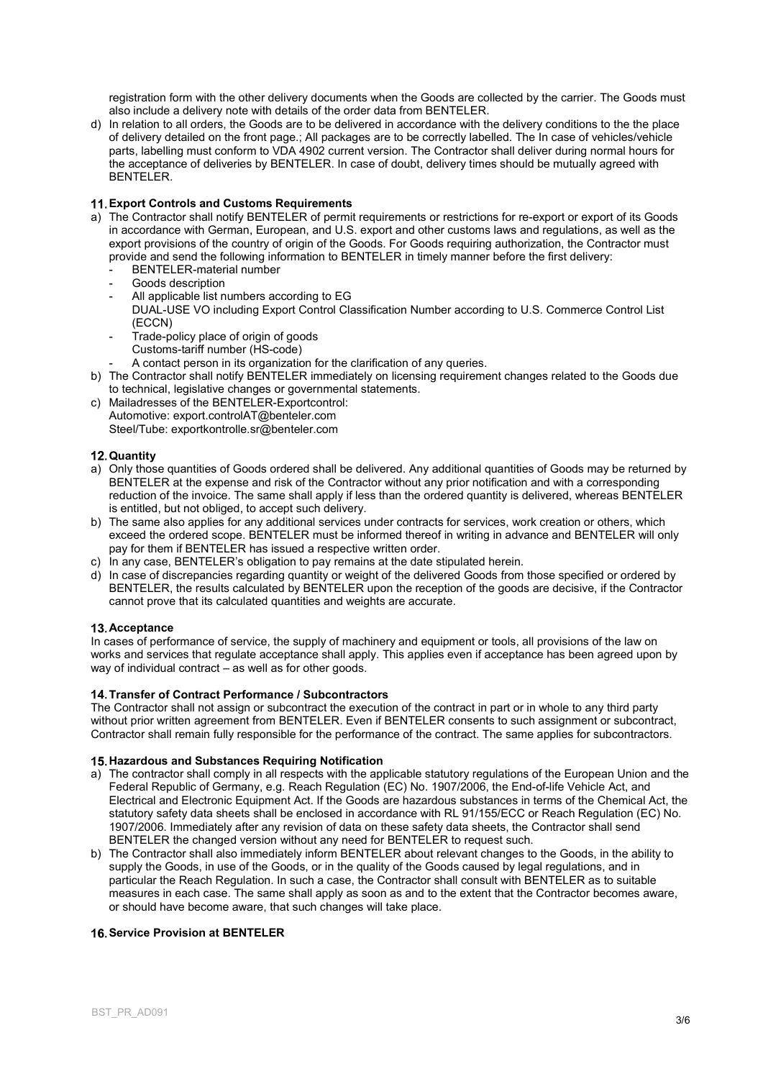registration form with the other delivery documents when the Goods are collected by the carrier. The Goods must also include a delivery note with details of the order data from BENTELER.

d) In relation to all orders, the Goods are to be delivered in accordance with the delivery conditions to the the place of delivery detailed on the front page.; All packages are to be correctly labelled. The In case of vehicles/vehicle parts, labelling must conform to VDA 4902 current version. The Contractor shall deliver during normal hours for the acceptance of deliveries by BENTELER. In case of doubt, delivery times should be mutually agreed with BENTELER.

# Export Controls and Customs Requirements

- a) The Contractor shall notify BENTELER of permit requirements or restrictions for re-export or export of its Goods in accordance with German, European, and U.S. export and other customs laws and regulations, as well as the export provisions of the country of origin of the Goods. For Goods requiring authorization, the Contractor must provide and send the following information to BENTELER in timely manner before the first delivery:
	- BENTELER-material number
	- Goods description
	- All applicable list numbers according to EG
	- DUAL-USE VO including Export Control Classification Number according to U.S. Commerce Control List (ECCN)
	- Trade-policy place of origin of goods Customs-tariff number (HS-code)
	- A contact person in its organization for the clarification of any queries.
- b) The Contractor shall notify BENTELER immediately on licensing requirement changes related to the Goods due to technical, legislative changes or governmental statements.
- c) Mailadresses of the BENTELER-Exportcontrol: Automotive: export.controlAT@benteler.com Steel/Tube: exportkontrolle.sr@benteler.com

#### 12. Quantity

- a) Only those quantities of Goods ordered shall be delivered. Any additional quantities of Goods may be returned by BENTELER at the expense and risk of the Contractor without any prior notification and with a corresponding reduction of the invoice. The same shall apply if less than the ordered quantity is delivered, whereas BENTELER is entitled, but not obliged, to accept such delivery.
- b) The same also applies for any additional services under contracts for services, work creation or others, which exceed the ordered scope. BENTELER must be informed thereof in writing in advance and BENTELER will only pay for them if BENTELER has issued a respective written order.
- c) In any case, BENTELER's obligation to pay remains at the date stipulated herein.
- d) In case of discrepancies regarding quantity or weight of the delivered Goods from those specified or ordered by BENTELER, the results calculated by BENTELER upon the reception of the goods are decisive, if the Contractor cannot prove that its calculated quantities and weights are accurate.

#### 13. Acceptance

In cases of performance of service, the supply of machinery and equipment or tools, all provisions of the law on works and services that regulate acceptance shall apply. This applies even if acceptance has been agreed upon by way of individual contract – as well as for other goods.

# 14. Transfer of Contract Performance / Subcontractors

The Contractor shall not assign or subcontract the execution of the contract in part or in whole to any third party without prior written agreement from BENTELER. Even if BENTELER consents to such assignment or subcontract, Contractor shall remain fully responsible for the performance of the contract. The same applies for subcontractors.

#### 15. Hazardous and Substances Requiring Notification

- a) The contractor shall comply in all respects with the applicable statutory regulations of the European Union and the Federal Republic of Germany, e.g. Reach Regulation (EC) No. 1907/2006, the End-of-life Vehicle Act, and Electrical and Electronic Equipment Act. If the Goods are hazardous substances in terms of the Chemical Act, the statutory safety data sheets shall be enclosed in accordance with RL 91/155/ECC or Reach Regulation (EC) No. 1907/2006. Immediately after any revision of data on these safety data sheets, the Contractor shall send BENTELER the changed version without any need for BENTELER to request such.
- b) The Contractor shall also immediately inform BENTELER about relevant changes to the Goods, in the ability to supply the Goods, in use of the Goods, or in the quality of the Goods caused by legal regulations, and in particular the Reach Regulation. In such a case, the Contractor shall consult with BENTELER as to suitable measures in each case. The same shall apply as soon as and to the extent that the Contractor becomes aware, or should have become aware, that such changes will take place.

# 16. Service Provision at BENTELER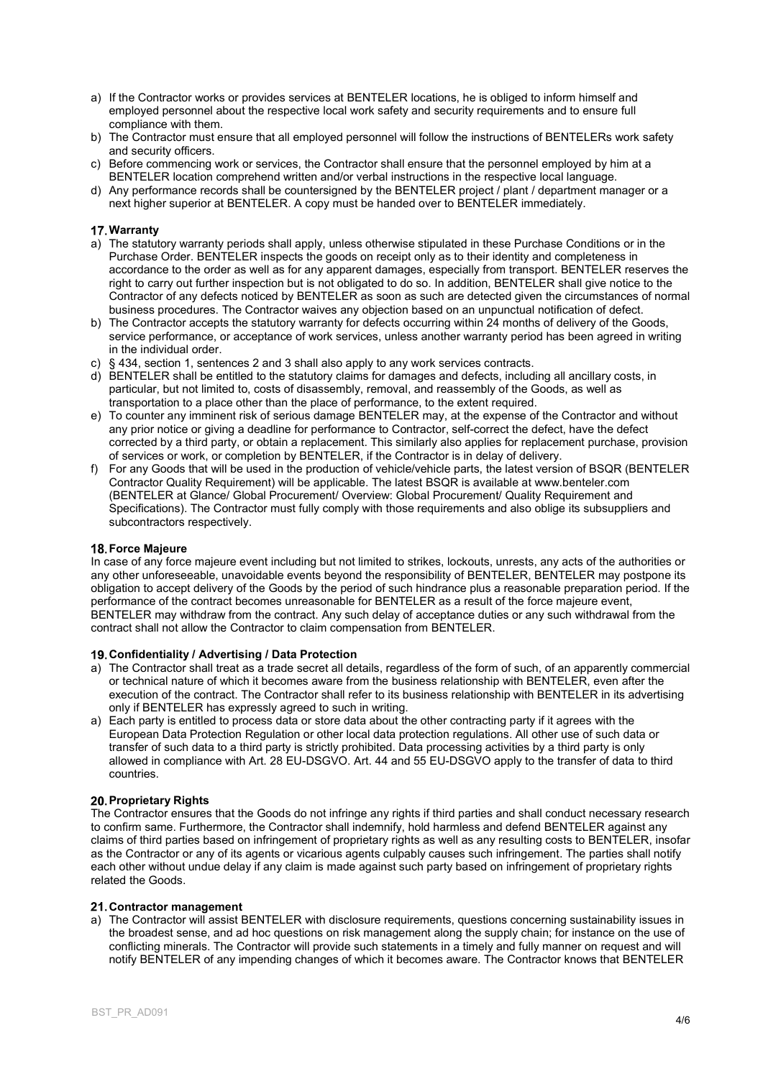- a) If the Contractor works or provides services at BENTELER locations, he is obliged to inform himself and employed personnel about the respective local work safety and security requirements and to ensure full compliance with them.
- b) The Contractor must ensure that all employed personnel will follow the instructions of BENTELERs work safety and security officers.
- c) Before commencing work or services, the Contractor shall ensure that the personnel employed by him at a BENTELER location comprehend written and/or verbal instructions in the respective local language.
- d) Any performance records shall be countersigned by the BENTELER project / plant / department manager or a next higher superior at BENTELER. A copy must be handed over to BENTELER immediately.

# 17. Warranty

- a) The statutory warranty periods shall apply, unless otherwise stipulated in these Purchase Conditions or in the Purchase Order. BENTELER inspects the goods on receipt only as to their identity and completeness in accordance to the order as well as for any apparent damages, especially from transport. BENTELER reserves the right to carry out further inspection but is not obligated to do so. In addition, BENTELER shall give notice to the Contractor of any defects noticed by BENTELER as soon as such are detected given the circumstances of normal business procedures. The Contractor waives any objection based on an unpunctual notification of defect.
- b) The Contractor accepts the statutory warranty for defects occurring within 24 months of delivery of the Goods, service performance, or acceptance of work services, unless another warranty period has been agreed in writing in the individual order.
- c) § 434, section 1, sentences 2 and 3 shall also apply to any work services contracts.
- d) BENTELER shall be entitled to the statutory claims for damages and defects, including all ancillary costs, in particular, but not limited to, costs of disassembly, removal, and reassembly of the Goods, as well as transportation to a place other than the place of performance, to the extent required.
- e) To counter any imminent risk of serious damage BENTELER may, at the expense of the Contractor and without any prior notice or giving a deadline for performance to Contractor, self-correct the defect, have the defect corrected by a third party, or obtain a replacement. This similarly also applies for replacement purchase, provision of services or work, or completion by BENTELER, if the Contractor is in delay of delivery.
- f) For any Goods that will be used in the production of vehicle/vehicle parts, the latest version of BSQR (BENTELER Contractor Quality Requirement) will be applicable. The latest BSQR is available at www.benteler.com (BENTELER at Glance/ Global Procurement/ Overview: Global Procurement/ Quality Requirement and Specifications). The Contractor must fully comply with those requirements and also oblige its subsuppliers and subcontractors respectively.

#### **18. Force Majeure**

In case of any force majeure event including but not limited to strikes, lockouts, unrests, any acts of the authorities or any other unforeseeable, unavoidable events beyond the responsibility of BENTELER, BENTELER may postpone its obligation to accept delivery of the Goods by the period of such hindrance plus a reasonable preparation period. If the performance of the contract becomes unreasonable for BENTELER as a result of the force majeure event, BENTELER may withdraw from the contract. Any such delay of acceptance duties or any such withdrawal from the contract shall not allow the Contractor to claim compensation from BENTELER.

#### Confidentiality / Advertising / Data Protection

- a) The Contractor shall treat as a trade secret all details, regardless of the form of such, of an apparently commercial or technical nature of which it becomes aware from the business relationship with BENTELER, even after the execution of the contract. The Contractor shall refer to its business relationship with BENTELER in its advertising only if BENTELER has expressly agreed to such in writing.
- a) Each party is entitled to process data or store data about the other contracting party if it agrees with the European Data Protection Regulation or other local data protection regulations. All other use of such data or transfer of such data to a third party is strictly prohibited. Data processing activities by a third party is only allowed in compliance with Art. 28 EU-DSGVO. Art. 44 and 55 EU-DSGVO apply to the transfer of data to third countries.

#### 20. Proprietary Rights

The Contractor ensures that the Goods do not infringe any rights if third parties and shall conduct necessary research to confirm same. Furthermore, the Contractor shall indemnify, hold harmless and defend BENTELER against any claims of third parties based on infringement of proprietary rights as well as any resulting costs to BENTELER, insofar as the Contractor or any of its agents or vicarious agents culpably causes such infringement. The parties shall notify each other without undue delay if any claim is made against such party based on infringement of proprietary rights related the Goods.

#### 21. Contractor management

a) The Contractor will assist BENTELER with disclosure requirements, questions concerning sustainability issues in the broadest sense, and ad hoc questions on risk management along the supply chain; for instance on the use of conflicting minerals. The Contractor will provide such statements in a timely and fully manner on request and will notify BENTELER of any impending changes of which it becomes aware. The Contractor knows that BENTELER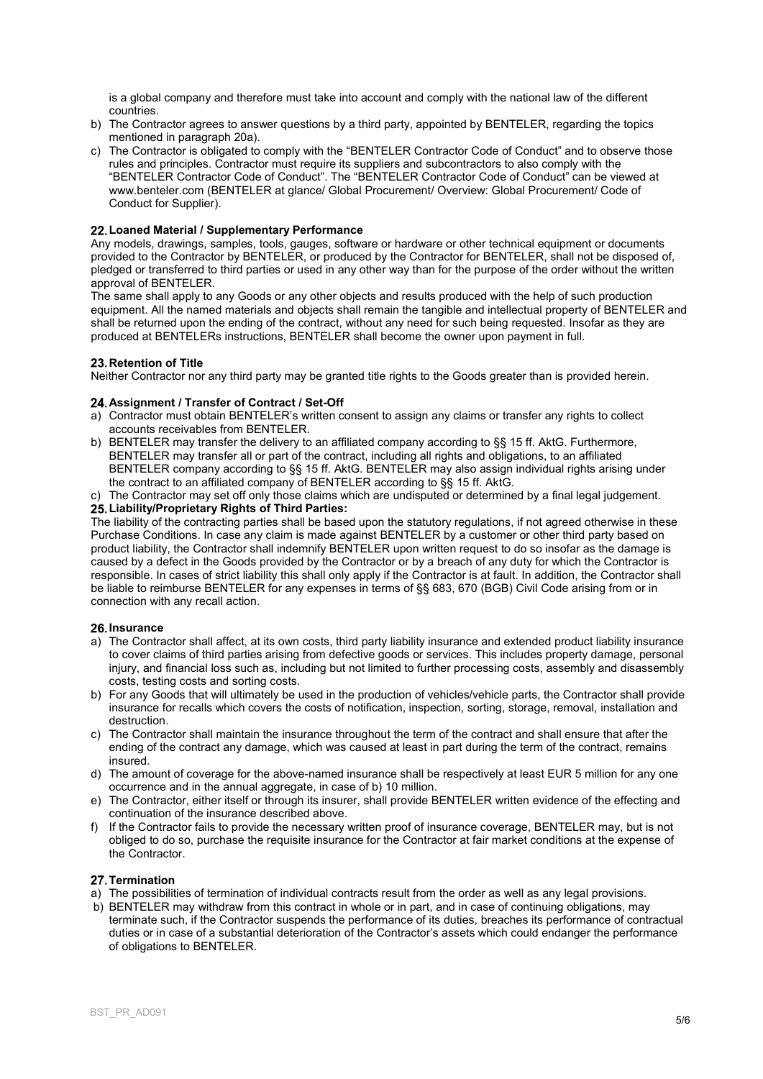is a global company and therefore must take into account and comply with the national law of the different countries.

- b) The Contractor agrees to answer questions by a third party, appointed by BENTELER, regarding the topics mentioned in paragraph 20a).
- c) The Contractor is obligated to comply with the "BENTELER Contractor Code of Conduct" and to observe those rules and principles. Contractor must require its suppliers and subcontractors to also comply with the "BENTELER Contractor Code of Conduct". The "BENTELER Contractor Code of Conduct" can be viewed at www.benteler.com (BENTELER at glance/ Global Procurement/ Overview: Global Procurement/ Code of Conduct for Supplier).

# 22. Loaned Material / Supplementary Performance

Any models, drawings, samples, tools, gauges, software or hardware or other technical equipment or documents provided to the Contractor by BENTELER, or produced by the Contractor for BENTELER, shall not be disposed of, pledged or transferred to third parties or used in any other way than for the purpose of the order without the written approval of BENTELER.

The same shall apply to any Goods or any other objects and results produced with the help of such production equipment. All the named materials and objects shall remain the tangible and intellectual property of BENTELER and shall be returned upon the ending of the contract, without any need for such being requested. Insofar as they are produced at BENTELERs instructions, BENTELER shall become the owner upon payment in full.

# 23. Retention of Title

Neither Contractor nor any third party may be granted title rights to the Goods greater than is provided herein.

#### 24. Assignment / Transfer of Contract / Set-Off

- a) Contractor must obtain BENTELER's written consent to assign any claims or transfer any rights to collect accounts receivables from BENTELER.
- b) BENTELER may transfer the delivery to an affiliated company according to §§ 15 ff. AktG. Furthermore, BENTELER may transfer all or part of the contract, including all rights and obligations, to an affiliated BENTELER company according to §§ 15 ff. AktG. BENTELER may also assign individual rights arising under the contract to an affiliated company of BENTELER according to §§ 15 ff. AktG.

#### c) The Contractor may set off only those claims which are undisputed or determined by a final legal judgement. 25. Liability/Proprietary Rights of Third Parties:

The liability of the contracting parties shall be based upon the statutory regulations, if not agreed otherwise in these Purchase Conditions. In case any claim is made against BENTELER by a customer or other third party based on product liability, the Contractor shall indemnify BENTELER upon written request to do so insofar as the damage is caused by a defect in the Goods provided by the Contractor or by a breach of any duty for which the Contractor is responsible. In cases of strict liability this shall only apply if the Contractor is at fault. In addition, the Contractor shall be liable to reimburse BENTELER for any expenses in terms of §§ 683, 670 (BGB) Civil Code arising from or in connection with any recall action.

#### 26 Insurance

- a) The Contractor shall affect, at its own costs, third party liability insurance and extended product liability insurance to cover claims of third parties arising from defective goods or services. This includes property damage, personal injury, and financial loss such as, including but not limited to further processing costs, assembly and disassembly costs, testing costs and sorting costs.
- b) For any Goods that will ultimately be used in the production of vehicles/vehicle parts, the Contractor shall provide insurance for recalls which covers the costs of notification, inspection, sorting, storage, removal, installation and destruction.
- c) The Contractor shall maintain the insurance throughout the term of the contract and shall ensure that after the ending of the contract any damage, which was caused at least in part during the term of the contract, remains insured.
- d) The amount of coverage for the above-named insurance shall be respectively at least EUR 5 million for any one occurrence and in the annual aggregate, in case of b) 10 million.
- e) The Contractor, either itself or through its insurer, shall provide BENTELER written evidence of the effecting and continuation of the insurance described above.
- f) If the Contractor fails to provide the necessary written proof of insurance coverage, BENTELER may, but is not obliged to do so, purchase the requisite insurance for the Contractor at fair market conditions at the expense of the Contractor.

#### 27. Termination

- a) The possibilities of termination of individual contracts result from the order as well as any legal provisions.
- b) BENTELER may withdraw from this contract in whole or in part, and in case of continuing obligations, may terminate such, if the Contractor suspends the performance of its duties, breaches its performance of contractual duties or in case of a substantial deterioration of the Contractor's assets which could endanger the performance of obligations to BENTELER.